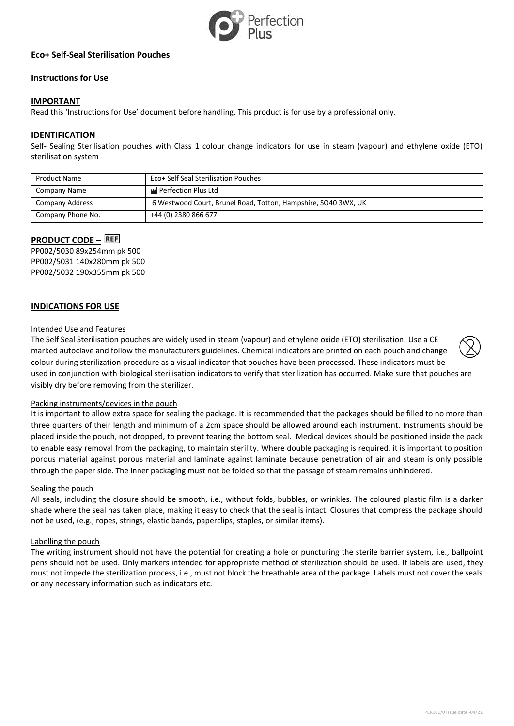

# **Eco+ Self-Seal Sterilisation Pouches**

# **Instructions for Use**

# **IMPORTANT**

Read this 'Instructions for Use' document before handling. This product is for use by a professional only.

# **IDENTIFICATION**

Self- Sealing Sterilisation pouches with Class 1 colour change indicators for use in steam (vapour) and ethylene oxide (ETO) sterilisation system

| <b>Product Name</b> | Eco+ Self Seal Sterilisation Pouches                           |
|---------------------|----------------------------------------------------------------|
| Company Name        | Perfection Plus Ltd                                            |
| Company Address     | 6 Westwood Court, Brunel Road, Totton, Hampshire, SO40 3WX, UK |
| Company Phone No.   | +44 (0) 2380 866 677                                           |

# **PRODUCT CODE – REF**

PP002/5030 89x254mm pk 500 PP002/5031 140x280mm pk 500 PP002/5032 190x355mm pk 500

# **INDICATIONS FOR USE**

### Intended Use and Features

The Self Seal Sterilisation pouches are widely used in steam (vapour) and ethylene oxide (ETO) sterilisation. Use a CE marked autoclave and follow the manufacturers guidelines. Chemical indicators are printed on each pouch and change colour during sterilization procedure as a visual indicator that pouches have been processed. These indicators must be used in conjunction with biological sterilisation indicators to verify that sterilization has occurred. Make sure that pouches are visibly dry before removing from the sterilizer.

#### Packing instruments/devices in the pouch

It is important to allow extra space for sealing the package. It is recommended that the packages should be filled to no more than three quarters of their length and minimum of a 2cm space should be allowed around each instrument. Instruments should be placed inside the pouch, not dropped, to prevent tearing the bottom seal. Medical devices should be positioned inside the pack to enable easy removal from the packaging, to maintain sterility. Where double packaging is required, it is important to position porous material against porous material and laminate against laminate because penetration of air and steam is only possible through the paper side. The inner packaging must not be folded so that the passage of steam remains unhindered.

#### Sealing the pouch

All seals, including the closure should be smooth, i.e., without folds, bubbles, or wrinkles. The coloured plastic film is a darker shade where the seal has taken place, making it easy to check that the seal is intact. Closures that compress the package should not be used, (e.g., ropes, strings, elastic bands, paperclips, staples, or similar items).

#### Labelling the pouch

The writing instrument should not have the potential for creating a hole or puncturing the sterile barrier system, i.e., ballpoint pens should not be used. Only markers intended for appropriate method of sterilization should be used. If labels are used, they must not impede the sterilization process, i.e., must not block the breathable area of the package. Labels must not cover the seals or any necessary information such as indicators etc.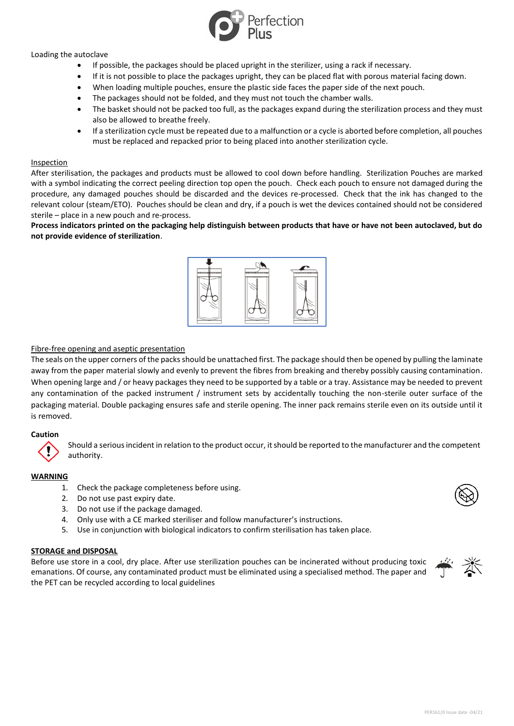

# Loading the autoclave

- If possible, the packages should be placed upright in the sterilizer, using a rack if necessary.
- If it is not possible to place the packages upright, they can be placed flat with porous material facing down.
- When loading multiple pouches, ensure the plastic side faces the paper side of the next pouch.
- The packages should not be folded, and they must not touch the chamber walls.
- The basket should not be packed too full, as the packages expand during the sterilization process and they must also be allowed to breathe freely.
- If a sterilization cycle must be repeated due to a malfunction or a cycle is aborted before completion, all pouches must be replaced and repacked prior to being placed into another sterilization cycle.

## Inspection

After sterilisation, the packages and products must be allowed to cool down before handling. Sterilization Pouches are marked with a symbol indicating the correct peeling direction top open the pouch. Check each pouch to ensure not damaged during the procedure, any damaged pouches should be discarded and the devices re-processed. Check that the ink has changed to the relevant colour (steam/ETO). Pouches should be clean and dry, if a pouch is wet the devices contained should not be considered sterile – place in a new pouch and re-process.

# **Process indicators printed on the packaging help distinguish between products that have or have not been autoclaved, but do not provide evidence of sterilization**.



# Fibre-free opening and aseptic presentation

The seals on the upper corners of the packs should be unattached first. The package should then be opened by pulling the laminate away from the paper material slowly and evenly to prevent the fibres from breaking and thereby possibly causing contamination. When opening large and / or heavy packages they need to be supported by a table or a tray. Assistance may be needed to prevent any contamination of the packed instrument / instrument sets by accidentally touching the non-sterile outer surface of the packaging material. Double packaging ensures safe and sterile opening. The inner pack remains sterile even on its outside until it is removed.

#### **Caution**

Should a serious incident in relation to the product occur, it should be reported to the manufacturer and the competent authority.

# **WARNING**

- 1. Check the package completeness before using.
- 2. Do not use past expiry date.
- 3. Do not use if the package damaged.
- 4. Only use with a CE marked steriliser and follow manufacturer's instructions.
- 5. Use in conjunction with biological indicators to confirm sterilisation has taken place.

#### **STORAGE and DISPOSAL**

Before use store in a cool, dry place. After use sterilization pouches can be incinerated without producing toxic emanations. Of course, any contaminated product must be eliminated using a specialised method. The paper and the PET can be recycled according to local guidelines